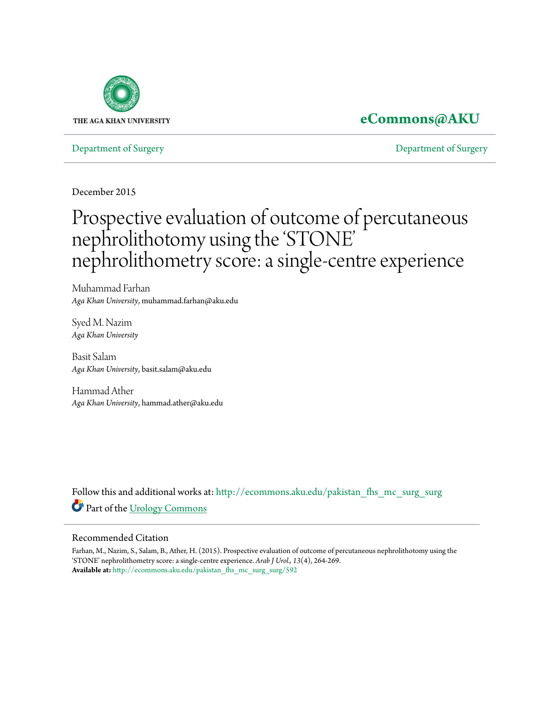

# **[eCommons@AKU](http://ecommons.aku.edu?utm_source=ecommons.aku.edu%2Fpakistan_fhs_mc_surg_surg%2F592&utm_medium=PDF&utm_campaign=PDFCoverPages)**

[Department of Surgery](http://ecommons.aku.edu/pakistan_fhs_mc_surg_surg?utm_source=ecommons.aku.edu%2Fpakistan_fhs_mc_surg_surg%2F592&utm_medium=PDF&utm_campaign=PDFCoverPages) [Department of Surgery](http://ecommons.aku.edu/pakistan_fhs_mc_surg?utm_source=ecommons.aku.edu%2Fpakistan_fhs_mc_surg_surg%2F592&utm_medium=PDF&utm_campaign=PDFCoverPages)

December 2015

# Prospective evaluation of outcome of percutaneous nephrolithotomy using the 'STONE' nephrolithometry score: a single-centre experience

Muhammad Farhan *Aga Khan University*, muhammad.farhan@aku.edu

Syed M. Nazim *Aga Khan University*

Basit Salam *Aga Khan University*, basit.salam@aku.edu

Hammad Ather *Aga Khan University*, hammad.ather@aku.edu

Follow this and additional works at: [http://ecommons.aku.edu/pakistan\\_fhs\\_mc\\_surg\\_surg](http://ecommons.aku.edu/pakistan_fhs_mc_surg_surg?utm_source=ecommons.aku.edu%2Fpakistan_fhs_mc_surg_surg%2F592&utm_medium=PDF&utm_campaign=PDFCoverPages) Part of the [Urology Commons](http://network.bepress.com/hgg/discipline/707?utm_source=ecommons.aku.edu%2Fpakistan_fhs_mc_surg_surg%2F592&utm_medium=PDF&utm_campaign=PDFCoverPages)

### Recommended Citation

Farhan, M., Nazim, S., Salam, B., Ather, H. (2015). Prospective evaluation of outcome of percutaneous nephrolithotomy using the 'STONE' nephrolithometry score: a single-centre experience. *Arab J Urol., 13*(4), 264-269. **Available at:** [http://ecommons.aku.edu/pakistan\\_fhs\\_mc\\_surg\\_surg/592](http://ecommons.aku.edu/pakistan_fhs_mc_surg_surg/592)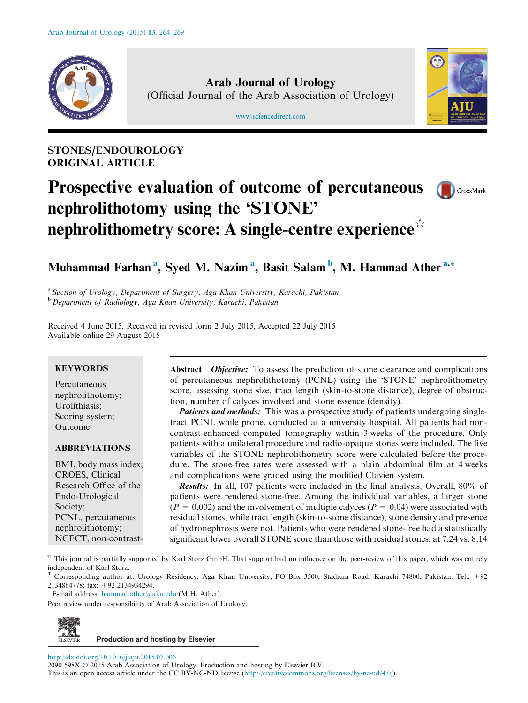

Arab Journal of Urology (Official Journal of the Arab Association of Urology)

[www.sciencedirect.com](http://www.sciencedirect.com/science/journal/2090598X)



## STONES/ENDOUROLOGY ORIGINAL ARTICLE

## Prospective evaluation of outcome of percutaneous CrossMark nephrolithotomy using the 'STONE' nephrolithometry score: A single-centre experience  $\mathbb{R}^{\mathbb{Z}}$



<sup>a</sup> Section of Urology, Department of Surgery, Aga Khan University, Karachi, Pakistan <sup>b</sup> Department of Radiology, Aga Khan University, Karachi, Pakistan

Received 4 June 2015, Received in revised form 2 July 2015, Accepted 22 July 2015 Available online 29 August 2015

#### **KEYWORDS**

Percutaneous nephrolithotomy; Urolithiasis; Scoring system; Outcome

#### ABBREVIATIONS

BMI, body mass index; CROES, Clinical Research Office of the Endo-Urological Society; PCNL, percutaneous nephrolithotomy; NCECT, non-contrast-

Abstract *Objective*: To assess the prediction of stone clearance and complications of percutaneous nephrolithotomy (PCNL) using the 'STONE' nephrolithometry score, assessing stone size, tract length (skin-to-stone distance), degree of obstruction, number of calyces involved and stone essence (density).

**Patients and methods:** This was a prospective study of patients undergoing singletract PCNL while prone, conducted at a university hospital. All patients had noncontrast-enhanced computed tomography within 3 weeks of the procedure. Only patients with a unilateral procedure and radio-opaque stones were included. The five variables of the STONE nephrolithometry score were calculated before the procedure. The stone-free rates were assessed with a plain abdominal film at 4 weeks and complications were graded using the modified Clavien system.

Results: In all, 107 patients were included in the final analysis. Overall, 80% of patients were rendered stone-free. Among the individual variables, a larger stone  $(P = 0.002)$  and the involvement of multiple calyces  $(P = 0.04)$  were associated with residual stones, while tract length (skin-to-stone distance), stone density and presence of hydronephrosis were not. Patients who were rendered stone-free had a statistically significant lower overall STONE score than those with residual stones, at 7.24 vs. 8.14

Peer review under responsibility of Arab Association of Urology.



<http://dx.doi.org/10.1016/j.aju.2015.07.006>

2090-598X 2015 Arab Association of Urology. Production and hosting by Elsevier B.V.

This is an open access article under the CC BY-NC-ND license ([http://creativecommons.org/licenses/by-nc-nd/4.0/\)](http://creativecommons.org/licenses/by-nc-nd/4.0/).

 $*$  This journal is partially supported by Karl Storz GmbH. That support had no influence on the peer-review of this paper, which was entirely independent of Karl Storz.

<sup>\*</sup> Corresponding author at: Urology Residency, Aga Khan University, PO Box 3500, Stadium Road, Karachi 74800, Pakistan. Tel.: +92 2134864778; fax: +92 2134934294.

E-mail address: [hammad.ather@aku.edu](mailto:hammad.ather@aku.edu) (M.H. Ather).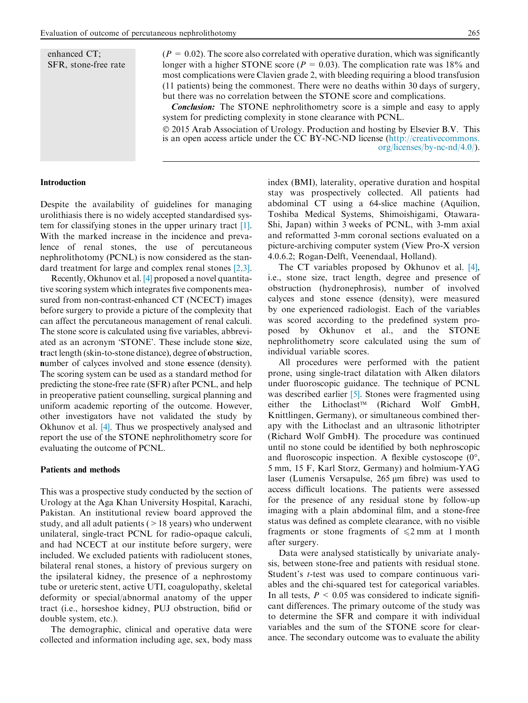[org/licenses/by-nc-nd/4.0/\)](http://creativecommons.org/licenses/by-nc-nd/4.0/).



#### Introduction

Despite the availability of guidelines for managing urolithiasis there is no widely accepted standardised system for classifying stones in the upper urinary tract [\[1\].](#page-5-0) With the marked increase in the incidence and prevalence of renal stones, the use of percutaneous nephrolithotomy (PCNL) is now considered as the standard treatment for large and complex renal stones [\[2,3\].](#page-5-0)

Recently, Okhunov et al. [\[4\]](#page-5-0) proposed a novel quantitative scoring system which integrates five components measured from non-contrast-enhanced CT (NCECT) images before surgery to provide a picture of the complexity that can affect the percutaneous management of renal calculi. The stone score is calculated using five variables, abbreviated as an acronym 'STONE'. These include stone size, tract length (skin-to-stone distance), degree of obstruction, number of calyces involved and stone essence (density). The scoring system can be used as a standard method for predicting the stone-free rate (SFR) after PCNL, and help in preoperative patient counselling, surgical planning and uniform academic reporting of the outcome. However, other investigators have not validated the study by Okhunov et al. [\[4\].](#page-5-0) Thus we prospectively analysed and report the use of the STONE nephrolithometry score for evaluating the outcome of PCNL.

#### Patients and methods

This was a prospective study conducted by the section of Urology at the Aga Khan University Hospital, Karachi, Pakistan. An institutional review board approved the study, and all adult patients  $(>18$  years) who underwent unilateral, single-tract PCNL for radio-opaque calculi, and had NCECT at our institute before surgery, were included. We excluded patients with radiolucent stones, bilateral renal stones, a history of previous surgery on the ipsilateral kidney, the presence of a nephrostomy tube or ureteric stent, active UTI, coagulopathy, skeletal deformity or special/abnormal anatomy of the upper tract (i.e., horseshoe kidney, PUJ obstruction, bifid or double system, etc.).

The demographic, clinical and operative data were collected and information including age, sex, body mass index (BMI), laterality, operative duration and hospital stay was prospectively collected. All patients had abdominal CT using a 64-slice machine (Aquilion, Toshiba Medical Systems, Shimoishigami, Otawara-Shi, Japan) within 3 weeks of PCNL, with 3-mm axial and reformatted 3-mm coronal sections evaluated on a picture-archiving computer system (View Pro-X version 4.0.6.2; Rogan-Delft, Veenendaal, Holland).

The CT variables proposed by Okhunov et al. [\[4\],](#page-5-0) i.e., stone size, tract length, degree and presence of obstruction (hydronephrosis), number of involved calyces and stone essence (density), were measured by one experienced radiologist. Each of the variables was scored according to the predefined system proposed by Okhunov et al., and the STONE nephrolithometry score calculated using the sum of individual variable scores.

All procedures were performed with the patient prone, using single-tract dilatation with Alken dilators under fluoroscopic guidance. The technique of PCNL was described earlier [\[5\]](#page-5-0). Stones were fragmented using either the Lithoclast<sup>™</sup> (Richard Wolf GmbH, Knittlingen, Germany), or simultaneous combined therapy with the Lithoclast and an ultrasonic lithotripter (Richard Wolf GmbH). The procedure was continued until no stone could be identified by both nephroscopic and fluoroscopic inspection. A flexible cystoscope  $(0^{\circ},$ 5 mm, 15 F, Karl Storz, Germany) and holmium-YAG laser (Lumenis Versapulse,  $265 \mu m$  fibre) was used to access difficult locations. The patients were assessed for the presence of any residual stone by follow-up imaging with a plain abdominal film, and a stone-free status was defined as complete clearance, with no visible fragments or stone fragments of  $\leq 2$  mm at 1 month after surgery.

Data were analysed statistically by univariate analysis, between stone-free and patients with residual stone. Student's t-test was used to compare continuous variables and the chi-squared test for categorical variables. In all tests,  $P < 0.05$  was considered to indicate significant differences. The primary outcome of the study was to determine the SFR and compare it with individual variables and the sum of the STONE score for clearance. The secondary outcome was to evaluate the ability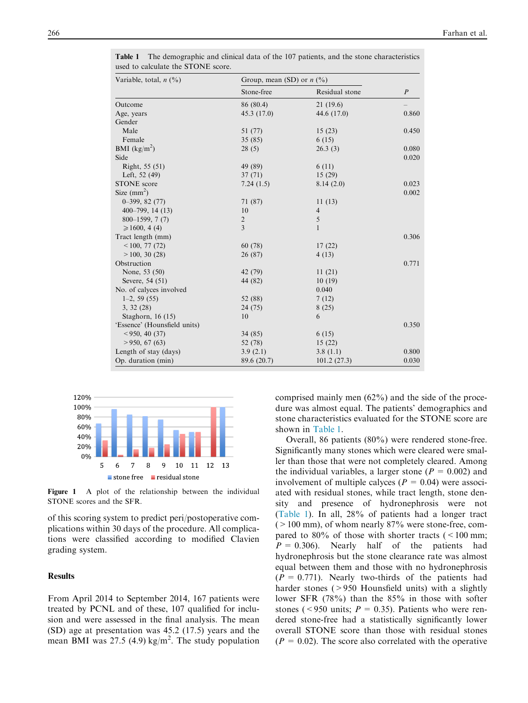| Variable, total, $n$ (%)     | Group, mean (SD) or $n$ (%) |                | $\boldsymbol{P}$ |
|------------------------------|-----------------------------|----------------|------------------|
|                              | Stone-free                  | Residual stone |                  |
| Outcome                      | 86 (80.4)                   | 21 (19.6)      |                  |
| Age, years                   | 45.3(17.0)                  | 44.6 (17.0)    | 0.860            |
| Gender                       |                             |                |                  |
| Male                         | 51 (77)                     | 15(23)         | 0.450            |
| Female                       | 35 (85)                     | 6(15)          |                  |
| BMI $(kg/m^2)$               | 28(5)                       | 26.3(3)        | 0.080            |
| Side                         |                             |                | 0.020            |
| Right, 55 (51)               | 49 (89)                     | 6(11)          |                  |
| Left, 52 (49)                | 37(71)                      | 15(29)         |                  |
| <b>STONE</b> score           | 7.24(1.5)                   | 8.14(2.0)      | 0.023            |
| Size $(mm^2)$                |                             |                | 0.002            |
| $0 - 399, 82(77)$            | 71 (87)                     | 11(13)         |                  |
| $400 - 799$ , 14 (13)        | 10                          | $\overline{4}$ |                  |
| $800 - 1599, 7(7)$           | $\sqrt{2}$                  | 5              |                  |
| $\geq 1600, 4(4)$            | 3                           | 1              |                  |
| Tract length (mm)            |                             |                | 0.306            |
| $<$ 100, 77 (72)             | 60 (78)                     | 17(22)         |                  |
| >100, 30(28)                 | 26 (87)                     | 4(13)          |                  |
| Obstruction                  |                             |                | 0.771            |
| None, 53 (50)                | 42 (79)                     | 11(21)         |                  |
| Severe, 54 (51)              | 44 (82)                     | 10(19)         |                  |
| No. of calyces involved      |                             | 0.040          |                  |
| $1-2, 59(55)$                | 52 (88)                     | 7(12)          |                  |
| 3, 32(28)                    | 24 (75)                     | 8(25)          |                  |
| Staghorn, 16 (15)            | 10                          | 6              |                  |
| 'Essence' (Hounsfield units) |                             |                | 0.350            |
| $<$ 950, 40 (37)             | 34 (85)                     | 6(15)          |                  |
| > 950, 67(63)                | 52 (78)                     | 15(22)         |                  |
| Length of stay (days)        | 3.9(2.1)                    | 3.8(1.1)       | 0.800            |
| Op. duration (min)           | 89.6 (20.7)                 | 101.2(27.3)    | 0.030            |

<span id="page-3-0"></span>Table 1 The demographic and clinical data of the 107 patients, and the stone characteristics used to calculate the STONE score.



Figure 1 A plot of the relationship between the individual STONE scores and the SFR.

of this scoring system to predict peri/postoperative complications within 30 days of the procedure. All complications were classified according to modified Clavien grading system.

#### Results

From April 2014 to September 2014, 167 patients were treated by PCNL and of these, 107 qualified for inclusion and were assessed in the final analysis. The mean (SD) age at presentation was 45.2 (17.5) years and the mean BMI was  $27.5$  (4.9) kg/m<sup>2</sup>. The study population

comprised mainly men (62%) and the side of the procedure was almost equal. The patients' demographics and stone characteristics evaluated for the STONE score are shown in Table 1.

Overall, 86 patients (80%) were rendered stone-free. Significantly many stones which were cleared were smaller than those that were not completely cleared. Among the individual variables, a larger stone ( $P = 0.002$ ) and involvement of multiple calyces ( $P = 0.04$ ) were associated with residual stones, while tract length, stone density and presence of hydronephrosis were not (Table 1). In all, 28% of patients had a longer tract  $(>100 \text{ mm})$ , of whom nearly 87% were stone-free, compared to  $80\%$  of those with shorter tracts ( $\leq 100$  mm;  $P = 0.306$ . Nearly half of the patients had hydronephrosis but the stone clearance rate was almost equal between them and those with no hydronephrosis  $(P = 0.771)$ . Nearly two-thirds of the patients had harder stones (>950 Hounsfield units) with a slightly lower SFR (78%) than the 85% in those with softer stones (<950 units;  $P = 0.35$ ). Patients who were rendered stone-free had a statistically significantly lower overall STONE score than those with residual stones  $(P = 0.02)$ . The score also correlated with the operative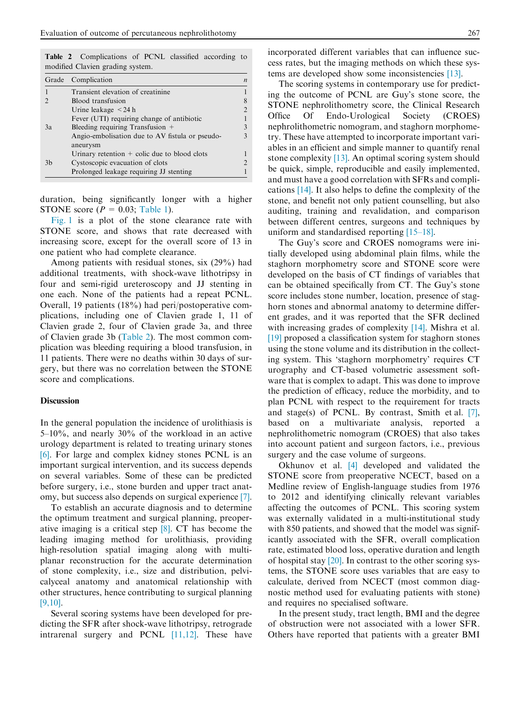Table 2 Complications of PCNL classified according to modified Clavien grading system.

|               | Grade Complication                                          |  |
|---------------|-------------------------------------------------------------|--|
|               | Transient elevation of creatinine                           |  |
|               | Blood transfusion                                           |  |
|               | Urine leakage $\leq$ 24 h                                   |  |
|               | Fever (UTI) requiring change of antibiotic                  |  |
| <sup>3a</sup> | Bleeding requiring Transfusion +                            |  |
|               | Angio-embolisation due to AV fistula or pseudo-<br>aneurysm |  |
|               | Urinary retention $+$ colic due to blood clots              |  |
| 3h            | Cystoscopic evacuation of clots                             |  |
|               | Prolonged leakage requiring JJ stenting                     |  |

duration, being significantly longer with a higher STONE score ( $P = 0.03$ ; [Table 1\)](#page-3-0).

[Fig. 1](#page-3-0) is a plot of the stone clearance rate with STONE score, and shows that rate decreased with increasing score, except for the overall score of 13 in one patient who had complete clearance.

Among patients with residual stones, six (29%) had additional treatments, with shock-wave lithotripsy in four and semi-rigid ureteroscopy and JJ stenting in one each. None of the patients had a repeat PCNL. Overall, 19 patients (18%) had peri/postoperative complications, including one of Clavien grade 1, 11 of Clavien grade 2, four of Clavien grade 3a, and three of Clavien grade 3b (Table 2). The most common complication was bleeding requiring a blood transfusion, in 11 patients. There were no deaths within 30 days of surgery, but there was no correlation between the STONE score and complications.

#### Discussion

In the general population the incidence of urolithiasis is 5–10%, and nearly 30% of the workload in an active urology department is related to treating urinary stones [\[6\].](#page-5-0) For large and complex kidney stones PCNL is an important surgical intervention, and its success depends on several variables. Some of these can be predicted before surgery, i.e., stone burden and upper tract anatomy, but success also depends on surgical experience [\[7\].](#page-5-0)

To establish an accurate diagnosis and to determine the optimum treatment and surgical planning, preoperative imaging is a critical step [\[8\].](#page-6-0) CT has become the leading imaging method for urolithiasis, providing high-resolution spatial imaging along with multiplanar reconstruction for the accurate determination of stone complexity, i.e., size and distribution, pelvicalyceal anatomy and anatomical relationship with other structures, hence contributing to surgical planning [\[9,10\]](#page-6-0).

Several scoring systems have been developed for predicting the SFR after shock-wave lithotripsy, retrograde intrarenal surgery and PCNL [\[11,12\].](#page-6-0) These have incorporated different variables that can influence success rates, but the imaging methods on which these systems are developed show some inconsistencies [\[13\].](#page-6-0)

The scoring systems in contemporary use for predicting the outcome of PCNL are Guy's stone score, the STONE nephrolithometry score, the Clinical Research Office Of Endo-Urological Society (CROES) nephrolithometric nomogram, and staghorn morphometry. These have attempted to incorporate important variables in an efficient and simple manner to quantify renal stone complexity [\[13\]](#page-6-0). An optimal scoring system should be quick, simple, reproducible and easily implemented, and must have a good correlation with SFRs and complications [\[14\].](#page-6-0) It also helps to define the complexity of the stone, and benefit not only patient counselling, but also auditing, training and revalidation, and comparison between different centres, surgeons and techniques by uniform and standardised reporting [\[15–18\].](#page-6-0)

The Guy's score and CROES nomograms were initially developed using abdominal plain films, while the staghorn morphometry score and STONE score were developed on the basis of CT findings of variables that can be obtained specifically from CT. The Guy's stone score includes stone number, location, presence of staghorn stones and abnormal anatomy to determine different grades, and it was reported that the SFR declined with increasing grades of complexity [\[14\].](#page-6-0) Mishra et al. [\[19\]](#page-6-0) proposed a classification system for staghorn stones using the stone volume and its distribution in the collecting system. This 'staghorn morphometry' requires CT urography and CT-based volumetric assessment software that is complex to adapt. This was done to improve the prediction of efficacy, reduce the morbidity, and to plan PCNL with respect to the requirement for tracts and stage(s) of PCNL. By contrast, Smith et al. [\[7\],](#page-5-0) based on a multivariate analysis, reported a nephrolithometric nomogram (CROES) that also takes into account patient and surgeon factors, i.e., previous surgery and the case volume of surgeons.

Okhunov et al. [\[4\]](#page-5-0) developed and validated the STONE score from preoperative NCECT, based on a Medline review of English-language studies from 1976 to 2012 and identifying clinically relevant variables affecting the outcomes of PCNL. This scoring system was externally validated in a multi-institutional study with 850 patients, and showed that the model was significantly associated with the SFR, overall complication rate, estimated blood loss, operative duration and length of hospital stay  $[20]$ . In contrast to the other scoring systems, the STONE score uses variables that are easy to calculate, derived from NCECT (most common diagnostic method used for evaluating patients with stone) and requires no specialised software.

In the present study, tract length, BMI and the degree of obstruction were not associated with a lower SFR. Others have reported that patients with a greater BMI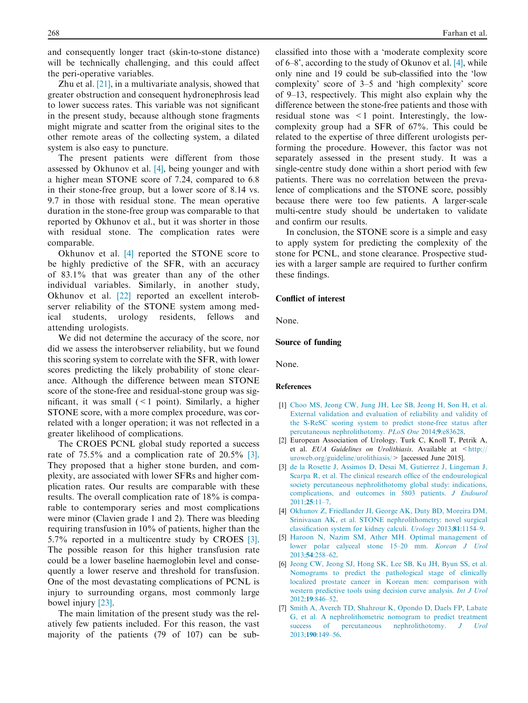<span id="page-5-0"></span>and consequently longer tract (skin-to-stone distance) will be technically challenging, and this could affect the peri-operative variables.

Zhu et al. [\[21\],](#page-6-0) in a multivariate analysis, showed that greater obstruction and consequent hydronephrosis lead to lower success rates. This variable was not significant in the present study, because although stone fragments might migrate and scatter from the original sites to the other remote areas of the collecting system, a dilated system is also easy to puncture.

The present patients were different from those assessed by Okhunov et al. [4], being younger and with a higher mean STONE score of 7.24, compared to 6.8 in their stone-free group, but a lower score of 8.14 vs. 9.7 in those with residual stone. The mean operative duration in the stone-free group was comparable to that reported by Okhunov et al., but it was shorter in those with residual stone. The complication rates were comparable.

Okhunov et al. [4] reported the STONE score to be highly predictive of the SFR, with an accuracy of 83.1% that was greater than any of the other individual variables. Similarly, in another study, Okhunov et al. [\[22\]](#page-6-0) reported an excellent interobserver reliability of the STONE system among medical students, urology residents, fellows and attending urologists.

We did not determine the accuracy of the score, nor did we assess the interobserver reliability, but we found this scoring system to correlate with the SFR, with lower scores predicting the likely probability of stone clearance. Although the difference between mean STONE score of the stone-free and residual-stone group was significant, it was small  $($  < 1 point). Similarly, a higher STONE score, with a more complex procedure, was correlated with a longer operation; it was not reflected in a greater likelihood of complications.

The CROES PCNL global study reported a success rate of 75.5% and a complication rate of 20.5% [3]. They proposed that a higher stone burden, and complexity, are associated with lower SFRs and higher complication rates. Our results are comparable with these results. The overall complication rate of 18% is comparable to contemporary series and most complications were minor (Clavien grade 1 and 2). There was bleeding requiring transfusion in 10% of patients, higher than the 5.7% reported in a multicentre study by CROES [3]. The possible reason for this higher transfusion rate could be a lower baseline haemoglobin level and consequently a lower reserve and threshold for transfusion. One of the most devastating complications of PCNL is injury to surrounding organs, most commonly large bowel injury [\[23\]](#page-6-0).

The main limitation of the present study was the relatively few patients included. For this reason, the vast majority of the patients (79 of 107) can be subclassified into those with a 'moderate complexity score of 6–8', according to the study of Okunov et al. [4], while only nine and 19 could be sub-classified into the 'low complexity' score of 3–5 and 'high complexity' score of 9–13, respectively. This might also explain why the difference between the stone-free patients and those with residual stone was  $\leq 1$  point. Interestingly, the lowcomplexity group had a SFR of 67%. This could be related to the expertise of three different urologists performing the procedure. However, this factor was not separately assessed in the present study. It was a single-centre study done within a short period with few patients. There was no correlation between the prevalence of complications and the STONE score, possibly because there were too few patients. A larger-scale multi-centre study should be undertaken to validate and confirm our results.

In conclusion, the STONE score is a simple and easy to apply system for predicting the complexity of the stone for PCNL, and stone clearance. Prospective studies with a larger sample are required to further confirm these findings.

#### Conflict of interest

None.

#### Source of funding

None.

#### References

- [1] [Choo MS, Jeong CW, Jung JH, Lee SB, Jeong H, Son H, et al.](http://refhub.elsevier.com/S2090-598X(15)00100-X/h0005) [External validation and evaluation of reliability and validity of](http://refhub.elsevier.com/S2090-598X(15)00100-X/h0005) [the S-ReSC scoring system to predict stone-free status after](http://refhub.elsevier.com/S2090-598X(15)00100-X/h0005) [percutaneous nephrolithotomy.](http://refhub.elsevier.com/S2090-598X(15)00100-X/h0005) PLoS One 2014;9:e83628.
- [2] European Association of Urology. Turk C, Knoll T, Petrik A, et al.  $EUA$  Guidelines on Urolithiasis. Available at  $\lt^{\text{http://}}$ [uroweb.org/guideline/urolithiasis/](http://uroweb.org/guideline/urolithiasis/)> [accessed June 2015].
- [3] [de la Rosette J, Assimos D, Desai M, Gutierrez J, Lingeman J,](http://refhub.elsevier.com/S2090-598X(15)00100-X/h0015) [Scarpa R, et al. The clinical research office of the endourological](http://refhub.elsevier.com/S2090-598X(15)00100-X/h0015) [society percutaneous nephrolithotomy global study: indications,](http://refhub.elsevier.com/S2090-598X(15)00100-X/h0015) [complications, and outcomes in 5803 patients.](http://refhub.elsevier.com/S2090-598X(15)00100-X/h0015) J Endourol  $2011:25:11-7$
- [4] [Okhunov Z, Friedlander JI, George AK, Duty BD, Moreira DM,](http://refhub.elsevier.com/S2090-598X(15)00100-X/h0020) [Srinivasan AK, et al. STONE nephrolithometry: novel surgical](http://refhub.elsevier.com/S2090-598X(15)00100-X/h0020) [classification system for kidney calculi.](http://refhub.elsevier.com/S2090-598X(15)00100-X/h0020) Urology 2013;81:1154–9.
- [5] [Haroon N, Nazim SM, Ather MH. Optimal management of](http://refhub.elsevier.com/S2090-598X(15)00100-X/h0025) [lower polar calyceal stone 15–20 mm.](http://refhub.elsevier.com/S2090-598X(15)00100-X/h0025) Korean J Urol 2013;54[:258–62](http://refhub.elsevier.com/S2090-598X(15)00100-X/h0025).
- [6] [Jeong CW, Jeong SJ, Hong SK, Lee SB, Ku JH, Byun SS, et al.](http://refhub.elsevier.com/S2090-598X(15)00100-X/h0030) [Nomograms to predict the pathological stage of clinically](http://refhub.elsevier.com/S2090-598X(15)00100-X/h0030) [localized prostate cancer in Korean men: comparison with](http://refhub.elsevier.com/S2090-598X(15)00100-X/h0030) [western predictive tools using decision curve analysis.](http://refhub.elsevier.com/S2090-598X(15)00100-X/h0030) *Int J Urol* 2012;19[:846–52](http://refhub.elsevier.com/S2090-598X(15)00100-X/h0030).
- [7] [Smith A, Averch TD, Shahrour K, Opondo D, Daels FP, Labate](http://refhub.elsevier.com/S2090-598X(15)00100-X/h0035) [G, et al. A nephrolithometric nomogram to predict treatment](http://refhub.elsevier.com/S2090-598X(15)00100-X/h0035) [success of percutaneous nephrolithotomy.](http://refhub.elsevier.com/S2090-598X(15)00100-X/h0035) J Urol 2013;190[:149–56](http://refhub.elsevier.com/S2090-598X(15)00100-X/h0035).